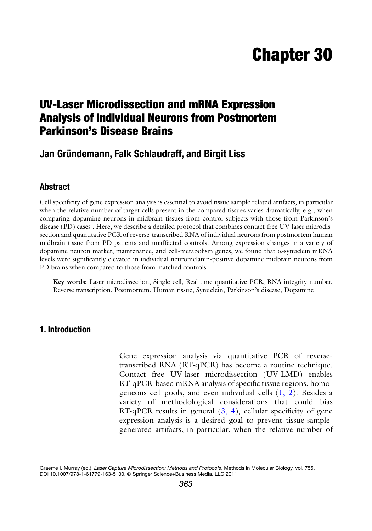# Chapter 30

## UV-Laser Microdissection and mRNA Expression Analysis of Individual Neurons from Postmortem Parkinson's Disease Brains

### **Jan Gründemann, Falk Schlaudraff, and Birgit Liss**

#### **Abstract**

Cell specificity of gene expression analysis is essential to avoid tissue sample related artifacts, in particular when the relative number of target cells present in the compared tissues varies dramatically, e.g., when comparing dopamine neurons in midbrain tissues from control subjects with those from Parkinson's disease (PD) cases . Here, we describe a detailed protocol that combines contact-free UV-laser microdissection and quantitative PCR of reverse-transcribed RNA of individual neurons from postmortem human midbrain tissue from PD patients and unaffected controls. Among expression changes in a variety of dopamine neuron marker, maintenance, and cell-metabolism genes, we found that  $\alpha$ -synuclein mRNA levels were significantly elevated in individual neuromelanin-positive dopamine midbrain neurons from PD brains when compared to those from matched controls.

**Key words:** Laser microdissection, Single cell, Real-time quantitative PCR, RNA integrity number, Reverse transcription, Postmortem, Human tissue, Synuclein, Parkinson's disease, Dopamine

#### **1. Introduction**

Gene expression analysis via quantitative PCR of reversetranscribed RNA (RT-qPCR) has become a routine technique. Contact free UV-laser microdissection (UV-LMD) enables RT-qPCR-based mRNA analysis of specific tissue regions, homogeneous cell pools, and even individual cells [\(1,](#page-10-0) [2\)](#page-10-1). Besides a variety of methodological considerations that could bias RT-qPCR results in general  $(3, 4)$  $(3, 4)$  $(3, 4)$ , cellular specificity of gene expression analysis is a desired goal to prevent tissue-samplegenerated artifacts, in particular, when the relative number of

Graeme I. Murray (ed.), *Laser Capture Microdissection: Methods and Protocols*, Methods in Molecular Biology, vol. 755, DOI 10.1007/978-1-61779-163-5\_30, © Springer Science+Business Media, LLC 2011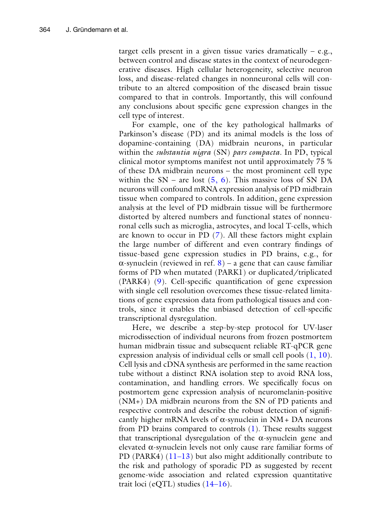target cells present in a given tissue varies dramatically – e.g., between control and disease states in the context of neurodegenerative diseases. High cellular heterogeneity, selective neuron loss, and disease-related changes in nonneuronal cells will contribute to an altered composition of the diseased brain tissue compared to that in controls. Importantly, this will confound any conclusions about specific gene expression changes in the cell type of interest.

For example, one of the key pathological hallmarks of Parkinson's disease (PD) and its animal models is the loss of dopamine-containing (DA) midbrain neurons, in particular within the *substantia nigra* (SN) *pars compacta.* In PD, typical clinical motor symptoms manifest not until approximately 75 % of these DA midbrain neurons – the most prominent cell type within the SN – are lost  $(5, 6)$  $(5, 6)$  $(5, 6)$  $(5, 6)$  $(5, 6)$ . This massive loss of SN DA neurons will confound mRNA expression analysis of PD midbrain tissue when compared to controls. In addition, gene expression analysis at the level of PD midbrain tissue will be furthermore distorted by altered numbers and functional states of nonneuronal cells such as microglia, astrocytes, and local T-cells, which are known to occur in PD  $(7)$  $(7)$ . All these factors might explain the large number of different and even contrary findings of tissue-based gene expression studies in PD brains, e.g., for  $\alpha$ -synuclein (reviewed in ref. [8\)](#page-11-2) – a gene that can cause familiar forms of PD when mutated (PARK1) or duplicated/triplicated (PARK4) ([9\)](#page-11-3). Cell-specific quantification of gene expression with single cell resolution overcomes these tissue-related limitations of gene expression data from pathological tissues and controls, since it enables the unbiased detection of cell-specific transcriptional dysregulation.

Here, we describe a step-by-step protocol for UV-laser microdissection of individual neurons from frozen postmortem human midbrain tissue and subsequent reliable RT-qPCR gene expression analysis of individual cells or small cell pools  $(1, 10)$  $(1, 10)$  $(1, 10)$  $(1, 10)$ . Cell lysis and cDNA synthesis are performed in the same reaction tube without a distinct RNA isolation step to avoid RNA loss, contamination, and handling errors. We specifically focus on postmortem gene expression analysis of neuromelanin-positive (NM+) DA midbrain neurons from the SN of PD patients and respective controls and describe the robust detection of significantly higher mRNA levels of  $\alpha$ -synuclein in NM + DA neurons from PD brains compared to controls  $(1)$ . These results suggest that transcriptional dysregulation of the  $\alpha$ -synuclein gene and elevated  $\alpha$ -synuclein levels not only cause rare familiar forms of PD (PARK4) ([11–](#page-11-5)[13\)](#page-11-6) but also might additionally contribute to the risk and pathology of sporadic PD as suggested by recent genome-wide association and related expression quantitative trait loci (eQTL) studies  $(14–16)$  $(14–16)$  $(14–16)$ .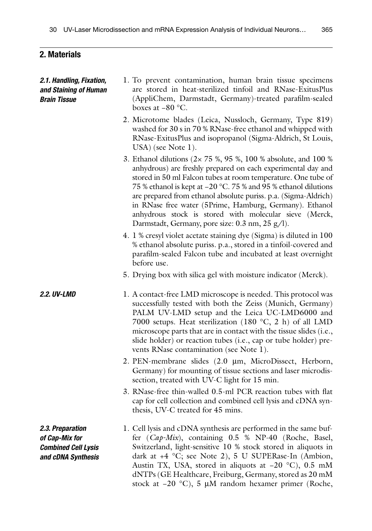#### **2. Materials**

#### *2.1. Handling, Fixation, and Staining of Human Brain Tissue*

- 1. To prevent contamination, human brain tissue specimens are stored in heat-sterilized tinfoil and RNase-ExitusPlus (AppliChem, Darmstadt, Germany)-treated parafilm-sealed boxes at −80 °C.
- 2. Microtome blades (Leica, Nussloch, Germany, Type 819) washed for 30 s in 70 % RNase-free ethanol and whipped with RNase-ExitusPlus and isopropanol (Sigma-Aldrich, St Louis, USA) (see Note 1).
- 3. Ethanol dilutions (2× 75 %, 95 %, 100 % absolute, and 100 % anhydrous) are freshly prepared on each experimental day and stored in 50 ml Falcon tubes at room temperature. One tube of 75 % ethanol is kept at −20 °C. 75 % and 95 % ethanol dilutions are prepared from ethanol absolute puriss. p.a. (Sigma-Aldrich) in RNase free water (5Prime, Hamburg, Germany). Ethanol anhydrous stock is stored with molecular sieve (Merck, Darmstadt, Germany, pore size: 0.3 nm, 25 g/l).
- 4. 1 % cresyl violet acetate staining dye (Sigma) is diluted in 100 % ethanol absolute puriss. p.a., stored in a tinfoil-covered and parafilm-sealed Falcon tube and incubated at least overnight before use.
- 5. Drying box with silica gel with moisture indicator (Merck).
- 1. A contact-free LMD microscope is needed. This protocol was successfully tested with both the Zeiss (Munich, Germany) PALM UV-LMD setup and the Leica UC-LMD6000 and 7000 setups. Heat sterilization (180  $^{\circ}$ C, 2 h) of all LMD microscope parts that are in contact with the tissue slides (i.e., slide holder) or reaction tubes (i.e., cap or tube holder) prevents RNase contamination (see Note 1). *2.2. UV-LMD*
	- 2. PEN-membrane slides (2.0 µm, MicroDissect, Herborn, Germany) for mounting of tissue sections and laser microdissection, treated with UV-C light for 15 min.
	- 3. RNase-free thin-walled 0.5-ml PCR reaction tubes with flat cap for cell collection and combined cell lysis and cDNA synthesis, UV-C treated for 45 mins.
	- 1. Cell lysis and cDNA synthesis are performed in the same buffer (*Cap-Mix*), containing 0.5 % NP-40 (Roche, Basel, Switzerland, light-sensitive 10 % stock stored in aliquots in dark at +4 °C; see Note 2), 5 U SUPERase-In (Ambion, Austin TX, USA, stored in aliquots at −20 °C), 0.5 mM dNTPs (GE Healthcare, Freiburg, Germany, stored as 20 mM stock at  $-20$  °C), 5 µM random hexamer primer (Roche,

*2.3. Preparation of Cap-Mix for Combined Cell Lysis and cDNA Synthesis*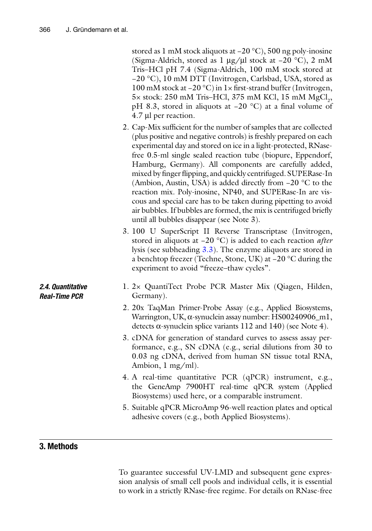stored as 1 mM stock aliquots at −20 °C), 500 ng poly-inosine (Sigma-Aldrich, stored as 1 μg/μl stock at −20 °C), 2 mM Tris–HCl pH 7.4 (Sigma-Aldrich, 100 mM stock stored at −20 °C), 10 mM DTT (Invitrogen, Carlsbad, USA, stored as 100 mM stock at −20 °C) in 1× first-strand buffer (Invitrogen,  $5\times$  stock: 250 mM Tris–HCl, 375 mM KCl, 15 mM  $MgCl_2$ , pH 8.3, stored in aliquots at −20 °C) at a final volume of 4.7 µl per reaction.

- 2. Cap-Mix sufficient for the number of samples that are collected (plus positive and negative controls) is freshly prepared on each experimental day and stored on ice in a light-protected, RNasefree 0.5-ml single sealed reaction tube (biopure, Eppendorf, Hamburg, Germany). All components are carefully added, mixed by finger flipping, and quickly centrifuged. SUPERase-In (Ambion, Austin, USA) is added directly from −20 °C to the reaction mix. Poly-inosine, NP40, and SUPERase-In are viscous and special care has to be taken during pipetting to avoid air bubbles. If bubbles are formed, the mix is centrifuged briefly until all bubbles disappear (see Note 3).
- 3. 100 U SuperScript II Reverse Transcriptase (Invitrogen, stored in aliquots at −20 °C) is added to each reaction *after* lysis (see subheading [3.3\)](#page-5-0). The enzyme aliquots are stored in a benchtop freezer (Techne, Stone, UK) at −20 °C during the experiment to avoid "freeze–thaw cycles".
- 1. 2× QuantiTect Probe PCR Master Mix (Qiagen, Hilden, Germany).
- 2. 20x TaqMan Primer-Probe Assay (e.g., Applied Biosystems, Warrington, UK, a-synuclein assay number: HS00240906\_m1, detects  $\alpha$ -synuclein splice variants 112 and 140) (see Note 4).
- 3. cDNA for generation of standard curves to assess assay performance, e.g., SN cDNA (e.g., serial dilutions from 30 to 0.03 ng cDNA, derived from human SN tissue total RNA, Ambion, 1 mg/ml).
- 4. A real-time quantitative PCR (qPCR) instrument, e.g., the GeneAmp 7900HT real-time qPCR system (Applied Biosystems) used here, or a comparable instrument.
- 5. Suitable qPCR MicroAmp 96-well reaction plates and optical adhesive covers (e.g., both Applied Biosystems).

#### **3. Methods**

To guarantee successful UV-LMD and subsequent gene expression analysis of small cell pools and individual cells, it is essential to work in a strictly RNase-free regime. For details on RNase-free

*2.4. Quantitative Real-Time PCR*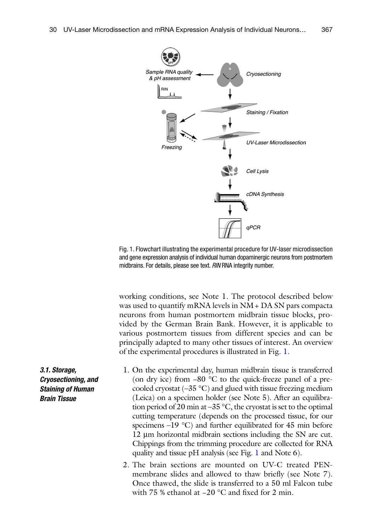<span id="page-4-0"></span>

Fig. 1. Flowchart illustrating the experimental procedure for UV-laser microdissection and gene expression analysis of individual human dopaminergic neurons from postmortem midbrains. For details, please see text. *RIN* RNA integrity number.

working conditions, see Note 1. The protocol described below was used to quantify mRNA levels in NM+ DA SN pars compacta neurons from human postmortem midbrain tissue blocks, provided by the German Brain Bank. However, it is applicable to various postmortem tissues from different species and can be principally adapted to many other tissues of interest. An overview of the experimental procedures is illustrated in Fig. [1.](#page-4-0)

- 1. On the experimental day, human midbrain tissue is transferred (on dry ice) from −80 °C to the quick-freeze panel of a precooled cryostat  $(-35 \degree C)$  and glued with tissue freezing medium (Leica) on a specimen holder (see Note 5). After an equilibration period of 20 min at  $-35$  °C, the cryostat is set to the optimal cutting temperature (depends on the processed tissue, for our specimens –19 °C) and further equilibrated for 45 min before 12 µm horizontal midbrain sections including the SN are cut. Chippings from the trimming procedure are collected for RNA quality and tissue pH analysis (see Fig. [1](#page-4-0) and Note 6).
- 2. The brain sections are mounted on UV-C treated PENmembrane slides and allowed to thaw briefly (see Note 7). Once thawed, the slide is transferred to a 50 ml Falcon tube with 75 % ethanol at  $-20$  °C and fixed for 2 min.

*3.1. Storage, Cryosectioning, and Staining of Human Brain Tissue*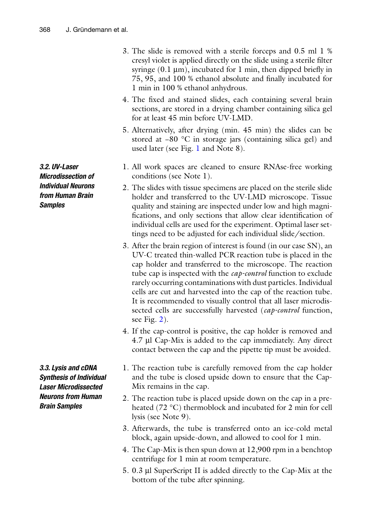3. The slide is removed with a sterile forceps and 0.5 ml 1 % cresyl violet is applied directly on the slide using a sterile filter syringe  $(0.1 \mu m)$ , incubated for 1 min, then dipped briefly in 75, 95, and 100 % ethanol absolute and finally incubated for 1 min in 100 % ethanol anhydrous.

- 4. The fixed and stained slides, each containing several brain sections, are stored in a drying chamber containing silica gel for at least 45 min before UV-LMD.
- 5. Alternatively, after drying (min. 45 min) the slides can be stored at −80 °C in storage jars (containing silica gel) and used later (see Fig. [1](#page-4-0) and Note 8).
- 1. All work spaces are cleaned to ensure RNAse-free working conditions (see Note 1).
- 2. The slides with tissue specimens are placed on the sterile slide holder and transferred to the UV-LMD microscope. Tissue quality and staining are inspected under low and high magnifications, and only sections that allow clear identification of individual cells are used for the experiment. Optimal laser settings need to be adjusted for each individual slide/section.
- 3. After the brain region of interest is found (in our case SN), an UV-C treated thin-walled PCR reaction tube is placed in the cap holder and transferred to the microscope. The reaction tube cap is inspected with the *cap-control* function to exclude rarely occurring contaminations with dust particles. Individual cells are cut and harvested into the cap of the reaction tube. It is recommended to visually control that all laser microdissected cells are successfully harvested (*cap-control* function, see Fig. [2](#page-6-0)).
- 4. If the cap-control is positive, the cap holder is removed and 4.7 µl Cap-Mix is added to the cap immediately. Any direct contact between the cap and the pipette tip must be avoided.

<span id="page-5-0"></span>*3.3. Lysis and cDNA Synthesis of Individual Laser Microdissected Neurons from Human Brain Samples*

- 1. The reaction tube is carefully removed from the cap holder and the tube is closed upside down to ensure that the Cap-Mix remains in the cap.
- 2. The reaction tube is placed upside down on the cap in a preheated (72 °C) thermoblock and incubated for 2 min for cell lysis (see Note 9).
- 3. Afterwards, the tube is transferred onto an ice-cold metal block, again upside-down, and allowed to cool for 1 min.
- 4. The Cap-Mix is then spun down at 12,900 rpm in a benchtop centrifuge for 1 min at room temperature.
- 5. 0.3 ml SuperScript II is added directly to the Cap-Mix at the bottom of the tube after spinning.

*3.2. UV-Laser Microdissection of Individual Neurons from Human Brain Samples*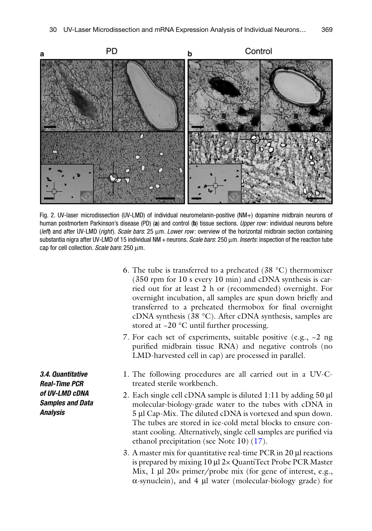<span id="page-6-0"></span>

Fig. 2. UV-laser microdissection (UV-LMD) of individual neuromelanin-positive (NM+) dopamine midbrain neurons of human postmortem Parkinson's disease (PD) (**a**) and control (**b**) tissue sections. *Upper row*: individual neurons before (*left*) and after UV-LMD (*right*). *Scale bars*: 25 mm. *Lower row*: overview of the horizontal midbrain section containing substantia nigra after UV-LMD of 15 individual NM + neurons. *Scale bars*: 250 µm. *Inserts*: inspection of the reaction tube cap for cell collection. *Scale bars*: 250 µm.

- 6. The tube is transferred to a preheated  $(38 \text{ °C})$  thermomixer (350 rpm for 10 s every 10 min) and cDNA synthesis is carried out for at least 2 h or (recommended) overnight. For overnight incubation, all samples are spun down briefly and transferred to a preheated thermobox for final overnight cDNA synthesis (38 °C). After cDNA synthesis, samples are stored at −20 °C until further processing.
- 7. For each set of experiments, suitable positive (e.g.,  $\sim$ 2 ng purified midbrain tissue RNA) and negative controls (no LMD-harvested cell in cap) are processed in parallel.
- 1. The following procedures are all carried out in a UV-Ctreated sterile workbench.
- 2. Each single cell cDNA sample is diluted 1:11 by adding 50 µl molecular-biology-grade water to the tubes with cDNA in 5 µl Cap-Mix. The diluted cDNA is vortexed and spun down. The tubes are stored in ice-cold metal blocks to ensure constant cooling. Alternatively, single cell samples are purified via ethanol precipitation (see Note 10) ([17\)](#page-11-9).
- 3. A master mix for quantitative real-time PCR in  $20 \mu$ l reactions is prepared by mixing  $10 \mu$ l  $2 \times$  QuantiTect Probe PCR Master Mix, 1  $\mu$ l 20× primer/probe mix (for gene of interest, e.g.,  $\alpha$ -synuclein), and 4 µl water (molecular-biology grade) for

*3.4. Quantitative Real-Time PCR of UV-LMD cDNA Samples and Data Analysis*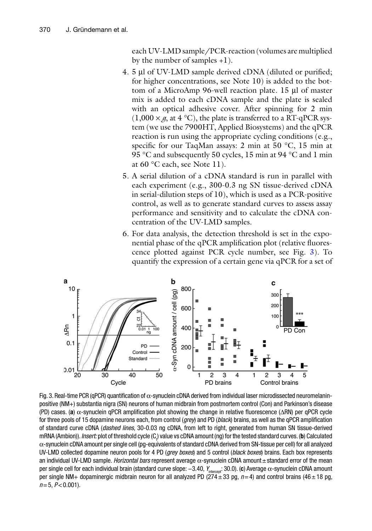each UV-LMD sample/PCR-reaction (volumes are multiplied by the number of samples +1).

- <span id="page-7-0"></span>4. 5 µl of UV-LMD sample derived cDNA (diluted or purified; for higher concentrations, see Note 10) is added to the bottom of a MicroAmp 96-well reaction plate.  $15 \mu l$  of master mix is added to each cDNA sample and the plate is sealed with an optical adhesive cover. After spinning for 2 min  $(1,000 \times g, \text{ at } 4 \text{ }^{\circ}\text{C})$ , the plate is transferred to a RT-qPCR system (we use the 7900HT, Applied Biosystems) and the qPCR reaction is run using the appropriate cycling conditions (e.g., specific for our TaqMan assays: 2 min at 50 °C, 15 min at 95 °C and subsequently 50 cycles, 15 min at 94 °C and 1 min at 60 °C each, see Note 11).
- 5. A serial dilution of a cDNA standard is run in parallel with each experiment (e.g., 300-0.3 ng SN tissue-derived cDNA in serial-dilution steps of 10), which is used as a PCR-positive control, as well as to generate standard curves to assess assay performance and sensitivity and to calculate the cDNA concentration of the UV-LMD samples.
- 6. For data analysis, the detection threshold is set in the exponential phase of the qPCR amplification plot (relative fluorescence plotted against PCR cycle number, see Fig. 3). To quantify the expression of a certain gene via qPCR for a set of



Fig. 3. Real-time PCR (qPCR) quantification of  $\alpha$ -synuclein cDNA derived from individual laser microdissected neuromelaninpositive (NM+) substantia nigra (SN) neurons of human midbrain from postmortem control (Con) and Parkinson's disease (PD) cases. (a)  $\alpha$ -synuclein qPCR amplification plot showing the change in relative fluorescence ( $\Delta$ RN) per qPCR cycle for three pools of 15 dopamine neurons each, from control (*grey*) and PD (*black*) brains, as well as the qPCR amplification of standard curve cDNA (*dashed lines*, 30-0.03 ng cDNA, from left to right, generated from human SN tissue-derived mRNA (Ambion))*. Insert:* plot of threshold cycle (C<sub>e</sub>) value vs cDNA amount (ng) for the tested standard curves. (**b**) Calculated  $\alpha$ -synuclein cDNA amount per single cell (pg-equivalents of standard cDNA derived from SN-tissue per cell) for all analyzed UV-LMD collected dopamine neuron pools for 4 PD (*grey boxes*) and 5 control (*black boxes*) brains. Each box represents an individual UV-LMD sample. *Horizontal bars* represent average a-synuclein cDNA amount±standard error of the mean per single cell for each individual brain (standard curve slope: -3.40, *Y<sub>intercept</sub>*: 30.0). (**c**) Average α-synuclein cDNA amount per single NM+ dopaminergic midbrain neuron for all analyzed PD (274±33 pg, *n*=4) and control brains (46±18 pg, *n*=5, *P*<0.001).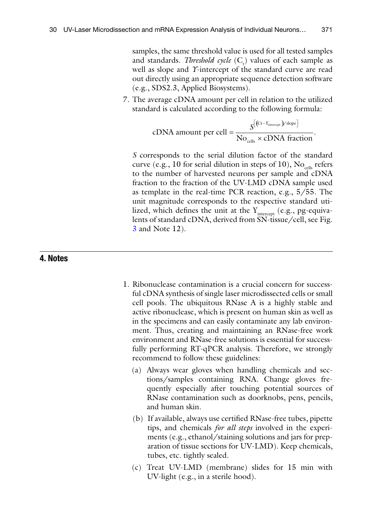samples, the same threshold value is used for all tested samples and standards. *Threshold cycle* (C<sub>t</sub>) values of each sample as well as slope and *Y*-intercept of the standard curve are read out directly using an appropriate sequence detection software (e.g., SDS2.3, Applied Biosystems).

7. The average cDNA amount per cell in relation to the utilized standard is calculated according to the following formula:

cDNA amount per cell = 
$$
\frac{S^{[(Ct - Y_{intercept})/slope]}}{No_{cells} \times cDNA fraction}.
$$

*S* corresponds to the serial dilution factor of the standard curve (e.g., 10 for serial dilution in steps of 10),  $\text{No}_{\text{calc}}$  refers to the number of harvested neurons per sample and cDNA fraction to the fraction of the UV-LMD cDNA sample used as template in the real-time PCR reaction, e.g., 5/55. The unit magnitude corresponds to the respective standard utilized, which defines the unit at the  $Y_{intercept}$  (e.g., pg-equivalents of standard cDNA, derived from SN-tissue/cell, see Fig. [3](#page-7-0) and Note 12).

#### **4. Notes**

- 1. Ribonuclease contamination is a crucial concern for successful cDNA synthesis of single laser microdissected cells or small cell pools. The ubiquitous RNase A is a highly stable and active ribonuclease, which is present on human skin as well as in the specimens and can easily contaminate any lab environment. Thus, creating and maintaining an RNase-free work environment and RNase-free solutions is essential for successfully performing RT-qPCR analysis. Therefore, we strongly recommend to follow these guidelines:
	- (a) Always wear gloves when handling chemicals and sections/samples containing RNA. Change gloves frequently especially after touching potential sources of RNase contamination such as doorknobs, pens, pencils, and human skin.
	- (b) If available, always use certified RNase-free tubes, pipette tips, and chemicals *for all steps* involved in the experiments (e.g., ethanol/staining solutions and jars for preparation of tissue sections for UV-LMD). Keep chemicals, tubes, etc. tightly sealed.
	- (c) Treat UV-LMD (membrane) slides for 15 min with UV-light (e.g., in a sterile hood).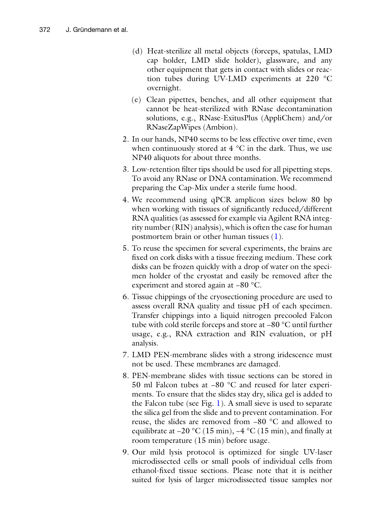- (d) Heat-sterilize all metal objects (forceps, spatulas, LMD cap holder, LMD slide holder), glassware, and any other equipment that gets in contact with slides or reaction tubes during UV-LMD experiments at 220 °C overnight.
- (e) Clean pipettes, benches, and all other equipment that cannot be heat-sterilized with RNase decontamination solutions, e.g., RNase-ExitusPlus (AppliChem) and/or RNaseZapWipes (Ambion).
- 2. In our hands, NP40 seems to be less effective over time, even when continuously stored at  $4^{\circ}$ C in the dark. Thus, we use NP40 aliquots for about three months.
- 3. Low-retention filter tips should be used for all pipetting steps. To avoid any RNase or DNA contamination. We recommend preparing the Cap-Mix under a sterile fume hood.
- 4. We recommend using qPCR amplicon sizes below 80 bp when working with tissues of significantly reduced/different RNA qualities (as assessed for example via Agilent RNA integrity number (RIN) analysis), which is often the case for human postmortem brain or other human tissues  $(1)$  $(1)$ .
- 5. To reuse the specimen for several experiments, the brains are fixed on cork disks with a tissue freezing medium. These cork disks can be frozen quickly with a drop of water on the specimen holder of the cryostat and easily be removed after the experiment and stored again at −80 °C.
- 6. Tissue chippings of the cryosectioning procedure are used to assess overall RNA quality and tissue pH of each specimen. Transfer chippings into a liquid nitrogen precooled Falcon tube with cold sterile forceps and store at −80 °C until further usage, e.g., RNA extraction and RIN evaluation, or pH analysis.
- 7. LMD PEN-membrane slides with a strong iridescence must not be used. These membranes are damaged.
- 8. PEN-membrane slides with tissue sections can be stored in 50 ml Falcon tubes at −80 °C and reused for later experiments. To ensure that the slides stay dry, silica gel is added to the Falcon tube (see Fig. [1](#page-4-0)). A small sieve is used to separate the silica gel from the slide and to prevent contamination. For reuse, the slides are removed from −80 °C and allowed to equilibrate at  $-20$  °C (15 min),  $-4$  °C (15 min), and finally at room temperature (15 min) before usage.
- 9. Our mild lysis protocol is optimized for single UV-laser microdissected cells or small pools of individual cells from ethanol-fixed tissue sections. Please note that it is neither suited for lysis of larger microdissected tissue samples nor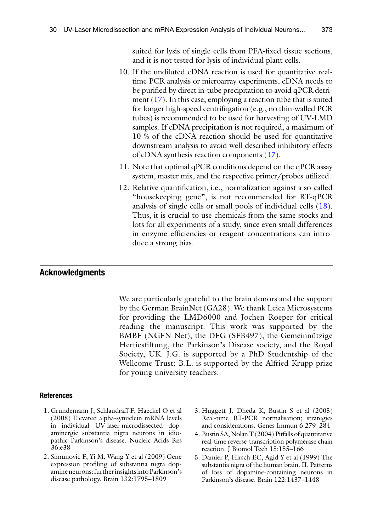suited for lysis of single cells from PFA-fixed tissue sections, and it is not tested for lysis of individual plant cells.

- 10. If the undiluted cDNA reaction is used for quantitative realtime PCR analysis or microarray experiments, cDNA needs to be purified by direct in-tube precipitation to avoid qPCR detriment  $(17)$ . In this case, employing a reaction tube that is suited for longer high-speed centrifugation (e.g., no thin-walled PCR tubes) is recommended to be used for harvesting of UV-LMD samples. If cDNA precipitation is not required, a maximum of 10 % of the cDNA reaction should be used for quantitative downstream analysis to avoid well-described inhibitory effects of cDNA synthesis reaction components ([17](#page-11-9)).
- 11. Note that optimal qPCR conditions depend on the qPCR assay system, master mix, and the respective primer/probes utilized.
- 12. Relative quantification, i.e., normalization against a so-called "housekeeping gene", is not recommended for RT-qPCR analysis of single cells or small pools of individual cells ([18\)](#page-11-10). Thus, it is crucial to use chemicals from the same stocks and lots for all experiments of a study, since even small differences in enzyme efficiencies or reagent concentrations can introduce a strong bias.

#### **Acknowledgments**

We are particularly grateful to the brain donors and the support by the German BrainNet (GA28). We thank Leica Microsystems for providing the LMD6000 and Jochen Roeper for critical reading the manuscript. This work was supported by the BMBF (NGFN-Net), the DFG (SFB497), the Gemeinnützige Hertiestiftung, the Parkinson's Disease society, and the Royal Society, UK. J.G. is supported by a PhD Studentship of the Wellcome Trust; B.L. is supported by the Alfried Krupp prize for young university teachers.

#### **References**

- <span id="page-10-0"></span>1. Grundemann J, Schlaudraff F, Haeckel O et al (2008) Elevated alpha-synuclein mRNA levels in individual UV-laser-microdissected dopaminergic substantia nigra neurons in idiopathic Parkinson's disease. Nucleic Acids Res 36:e38
- <span id="page-10-1"></span>2. Simunovic F, Yi M, Wang Y et al (2009) Gene expression profiling of substantia nigra dopamine neurons: further insights into Parkinson's disease pathology. Brain 132:1795–1809
- <span id="page-10-2"></span>3. Huggett J, Dheda K, Bustin S et al (2005) Real-time RT-PCR normalisation; strategies and considerations. Genes Immun 6:279–284
- <span id="page-10-3"></span>4. Bustin SA, Nolan T (2004) Pitfalls of quantitative real-time reverse-transcription polymerase chain reaction. J Biomol Tech 15:155–166
- <span id="page-10-4"></span>5. Damier P, Hirsch EC, Agid Y et al (1999) The substantia nigra of the human brain. II. Patterns of loss of dopamine-containing neurons in Parkinson's disease. Brain 122:1437–1448